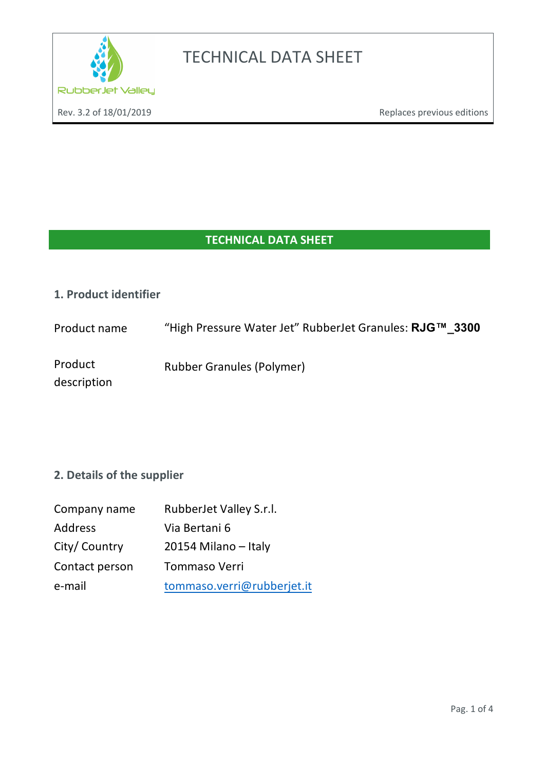

### **TECHNICAL DATA SHEET**

#### **1. Product identifier**

description

Product name "High Pressure Water Jet" RubberJet Granules: **RJG™\_3300** 

Product Rubber Granules (Polymer)

### **2. Details of the supplier**

| Company name   | RubberJet Valley S.r.l.    |  |
|----------------|----------------------------|--|
| Address        | Via Bertani 6              |  |
| City/Country   | 20154 Milano - Italy       |  |
| Contact person | Tommaso Verri              |  |
| e-mail         | tommaso.verri@rubberjet.it |  |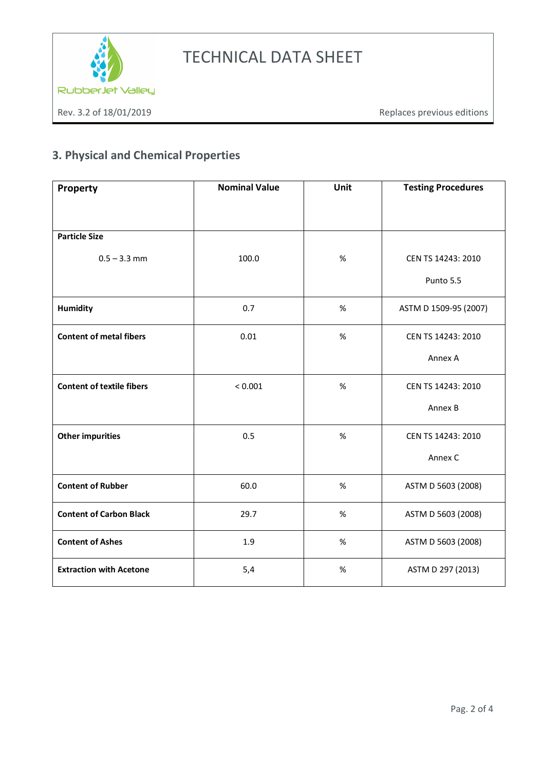

### **3. Physical and Chemical Properties**

| Property                         | <b>Nominal Value</b> | Unit | <b>Testing Procedures</b>       |
|----------------------------------|----------------------|------|---------------------------------|
|                                  |                      |      |                                 |
| <b>Particle Size</b>             |                      |      |                                 |
| $0.5 - 3.3$ mm                   | 100.0                | $\%$ | CEN TS 14243: 2010<br>Punto 5.5 |
| <b>Humidity</b>                  | 0.7                  | $\%$ | ASTM D 1509-95 (2007)           |
| <b>Content of metal fibers</b>   | 0.01                 | $\%$ | CEN TS 14243: 2010              |
|                                  |                      |      | Annex A                         |
| <b>Content of textile fibers</b> | < 0.001              | $\%$ | CEN TS 14243: 2010              |
|                                  |                      |      | Annex B                         |
| <b>Other impurities</b>          | 0.5                  | $\%$ | CEN TS 14243: 2010              |
|                                  |                      |      | Annex C                         |
| <b>Content of Rubber</b>         | 60.0                 | $\%$ | ASTM D 5603 (2008)              |
| <b>Content of Carbon Black</b>   | 29.7                 | $\%$ | ASTM D 5603 (2008)              |
| <b>Content of Ashes</b>          | 1.9                  | $\%$ | ASTM D 5603 (2008)              |
| <b>Extraction with Acetone</b>   | 5,4                  | $\%$ | ASTM D 297 (2013)               |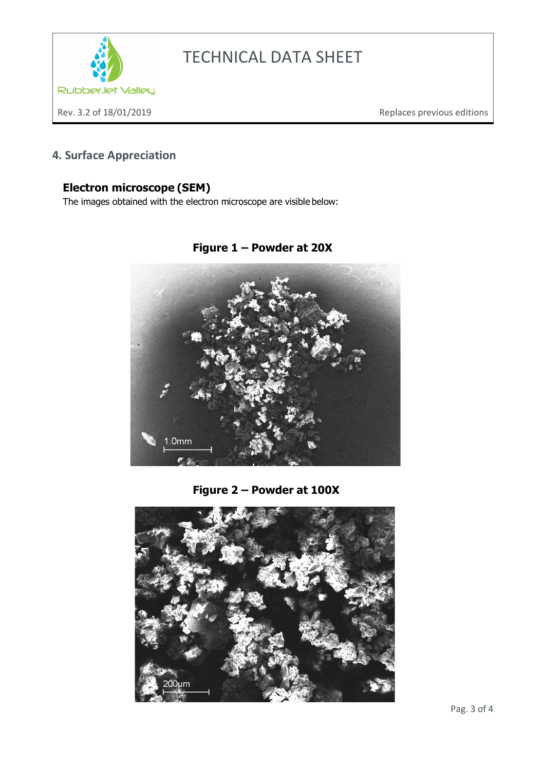

### **4. Surface Appreciation**

### **Electron microscope (SEM)**

The images obtained with the electron microscope are visible below:



**Figure 1 – Powder at 20X**

**Figure 2 – Powder at 100X**